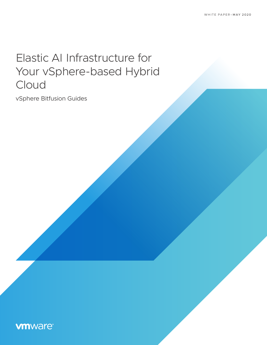# Elastic AI Infrastructure for Your vSphere-based Hybrid Cloud

vSphere Bitfusion Guides

# **vmware**®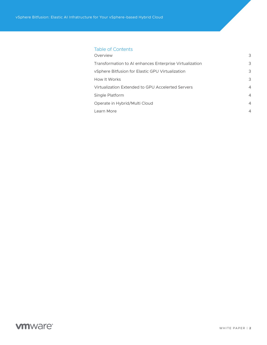# Table of Contents

| Overview                                                | 3              |
|---------------------------------------------------------|----------------|
| Transformation to AI enhances Enterprise Virtualization | 3              |
| vSphere Bitfusion for Elastic GPU Virtualization        | 3              |
| How It Works                                            | 3              |
| Virtualization Extended to GPU Accelerted Servers       | $\overline{4}$ |
| Single Platform                                         | $\overline{4}$ |
| Operate in Hybrid/Multi Cloud                           | $\overline{4}$ |
| Learn More                                              | $\overline{4}$ |
|                                                         |                |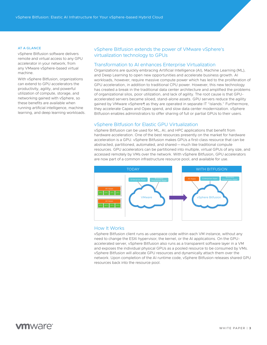#### <span id="page-2-0"></span>AT A GLANCE

vSphere Bitfusion software delivers remote and virtual access to any GPU accelerator in your network, from any VMware vSphere-based virtual machine.

With vSphere Bitfusion, organizations can extend to GPU accelerators the productivity, agility, and powerful utilization of compute, storage, and networking gained with vSphere, so these benefits are available when running artificial intelligence, machine learning, and deep learning workloads.

# vSphere Bitfusion extends the power of VMware vSphere's virtualization technology to GPUs

## Transformation to AI enhances Enterprise Virtualization

Organizations are quickly embracing Artificial Intelligence (AI), Machine Learning (ML), and Deep Learning to open new opportunities and accelerate business growth. AI workloads, however, require massive compute power which has led to the proliferation of GPU acceleration, in addition to traditional CPU power. However, this new technology has created a break in the traditional data center architecture and amplified the problems of organizational silos, poor utilization, and lack of agility. The root cause is that GPUaccelerated servers became siloed, stand-alone assets. GPU servers reduce the agility gained by VMware vSphere® as they are operated in separate IT "islands." Furthermore, they accelerate Capex and Opex spend, and slow data center modernization. vSphere Bitfusion enables administrators to offer sharing of full or partial GPUs to their users.

# vSphere Bitfusion for Elastic GPU Virtualization

vSphere Bitfusion can be used for ML, AI, and HPC applications that benefit from hardware acceleration. One of the best resources presently on the market for hardware acceleration is a GPU. vSphere Bitfusion makes GPUs a first-class resource that can be abstracted, partitioned, automated, and shared—much like traditional compute resources. GPU accelerators can be partitioned into multiple, virtual GPUs of any size, and accessed remotely by VMs over the network. With vSphere Bitfusion, GPU accelerators are now part of a common infrastructure resource pool, and available for use.



#### How It Works

vSphere Bitfusion client runs as userspace code within each VM instance, without any need to change the ESXi hypervisor, the kernel, or the AI applications. On the GPUaccelerated server, vSphere Bitfusion also runs as a transparent software layer in a VM and exposes the individual physical GPUs as a pooled resource to be consumed by VMs. vSphere Bitfusion will allocate GPU resources and dynamically attach them over the network. Upon completion of the AI runtime code, vSphere Bitfusion releases shared GPU resources back into the resource pool.

# **vm**ware<sup>®</sup>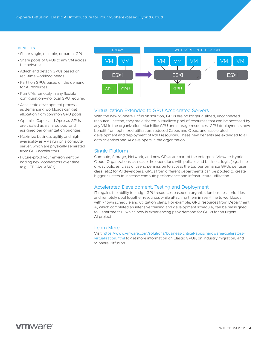#### <span id="page-3-0"></span>**BENEFITS**

- Share single, multiple, or partial GPUs
- Share pools of GPUs to any VM across the network
- Attach and detach GPUs based on real-time workload needs
- •Partition GPUs based on the demand for AI resources
- •Run VMs remotely in any flexible configuration—no local GPU required
- Accelerate development process as demanding workloads can get allocation from common GPU pools
- Optimize Capex and Opex as GPUs are treated as a shared pool and assigned per organization priorities
- Maximize business agility and high availability as VMs run on a compute server, which are physically separated from GPU accelerators
- Future-proof your environment by adding new accelerators over time (e.g., FPGAs, ASICs)



## Virtualization Extended to GPU Accelerated Servers

With the new vSphere Bitfusion solution, GPUs are no longer a siloed, unconnected resource. Instead, they are a shared, virtualized pool of resources that can be accessed by any VM in the organization. Much like CPU and storage resources, GPU deployments now benefit from optimized utilization, reduced Capex and Opex, and accelerated development and deployment of R&D resources. These new benefits are extended to all data scientists and AI developers in the organization.

## Single Platform

Compute, Storage, Network, and now GPUs are part of the enterprise VMware Hybrid Cloud. Organizations can scale the operations with policies and business logic (e.g., timeof-day policies, class of users, permission to access the top performance GPUs per user class, etc.) for AI developers. GPUs from different departments can be pooled to create bigger clusters to increase compute performance and infrastructure utilization.

#### Accelerated Development, Testing and Deployment

IT regains the ability to assign GPU resources based on organization business priorities and remotely pool together resources while attaching them in real-time to workloads, with known schedule and utilization plans. For example, GPU resources from Department A, which completed an intensive training and development schedule, can be reassigned to Department B, which now is experiencing peak demand for GPUs for an urgent AI project.

#### Learn More

Visit [https://www.vmware.com/solutions/business-critical-apps/hardwareaccelerators](https://www.vmware.com/solutions/business-critical-apps/hardwareaccelerators-virtualization.html)[virtualization.html](https://www.vmware.com/solutions/business-critical-apps/hardwareaccelerators-virtualization.html) to get more information on Elastic GPUs, on industry migration, and vSphere Bitfusion.